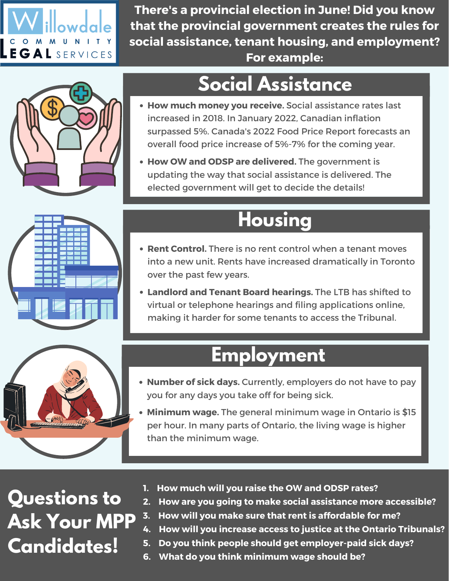

**There's a provincial election in June! Did you know that the provincial government creates the rules for social assistance, tenant housing, and employment? For example:**



### **Social Assistance**

- **How much money you receive.** Social assistance rates last increased in 2018. In January 2022, Canadian inflation surpassed 5%. Canada's 2022 Food Price Report forecasts an overall food price increase of 5%-7% for the coming year.
- **How OW and ODSP are delivered.** The government is updating the way that social assistance is delivered. The elected government will get to decide the details!

#### **Housing**

- **Rent Control.** There is no rent control when a tenant moves into a new unit. Rents have increased dramatically in Toronto over the past few years.
- **Landlord and Tenant Board hearings.** The LTB has shifted to virtual or telephone hearings and filing applications online, making it harder for some tenants to access the Tribunal.

#### **Employment**

- **Number of sick days.** Currently, employers do not have to pay you for any days you take off for being sick.
- **Minimum wage.** The general minimum wage in Ontario is \$15 per hour. In many parts of Ontario, the living wage is higher than the minimum wage.

### **Questions to Ask Your MPP Candidates!**

- **1. How much will you raise the OW and ODSP rates?**
- **2. How are you going to make social assistance more accessible?**
- **3. How will you make sure that rent is affordable for me?**
- **4. How will you increase access to justice at the Ontario Tribunals?**
- **5. Do you think people should get employer-paid sick days?**
- **6. What do you think minimum wage should be?**